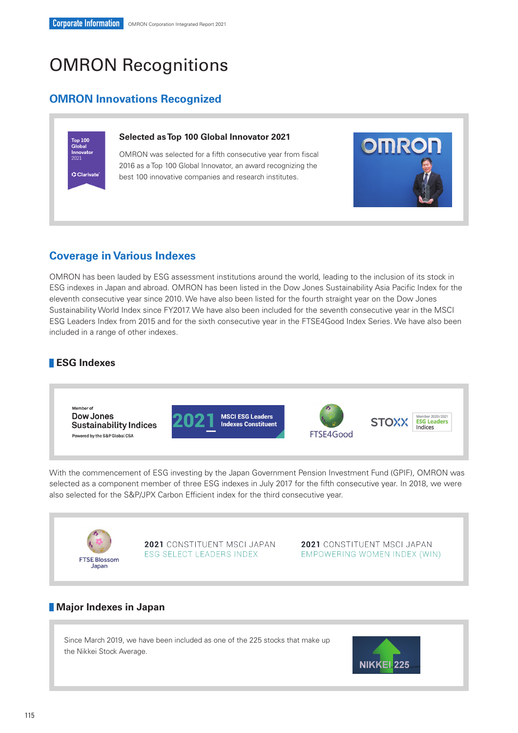# OMRON Recognitions

# **OMRON Innovations Recognized**

# Top 100<br>Global Innovato C Clarivate

## **Selected as Top 100 Global Innovator 2021**

OMRON was selected for a fifth consecutive year from fiscal 2016 as a Top 100 Global Innovator, an award recognizing the best 100 innovative companies and research institutes.



OMRON has been lauded by ESG assessment institutions around the world, leading to the inclusion of its stock in ESG indexes in Japan and abroad. OMRON has been listed in the Dow Jones Sustainability Asia Pacific Index for the eleventh consecutive year since 2010. We have also been listed for the fourth straight year on the Dow Jones Sustainability World Index since FY2017. We have also been included for the seventh consecutive year in the MSCI ESG Leaders Index from 2015 and for the sixth consecutive year in the FTSE4Good Index Series. We have also been included in a range of other indexes.

## **ESG Indexes**



With the commencement of ESG investing by the Japan Government Pension Investment Fund (GPIF), OMRON was selected as a component member of three ESG indexes in July 2017 for the fifth consecutive year. In 2018, we were also selected for the S&P/JPX Carbon Efficient index for the third consecutive year.



2021 CONSTITUENT MSCI JAPAN ESG SELECT LEADERS INDEX

2021 CONSTITUENT MSCI JAPAN EMPOWERING WOMEN INDEX (WIN)

## **Major Indexes in Japan**

Since March 2019, we have been included as one of the 225 stocks that make up the Nikkei Stock Average.



**OMROF**